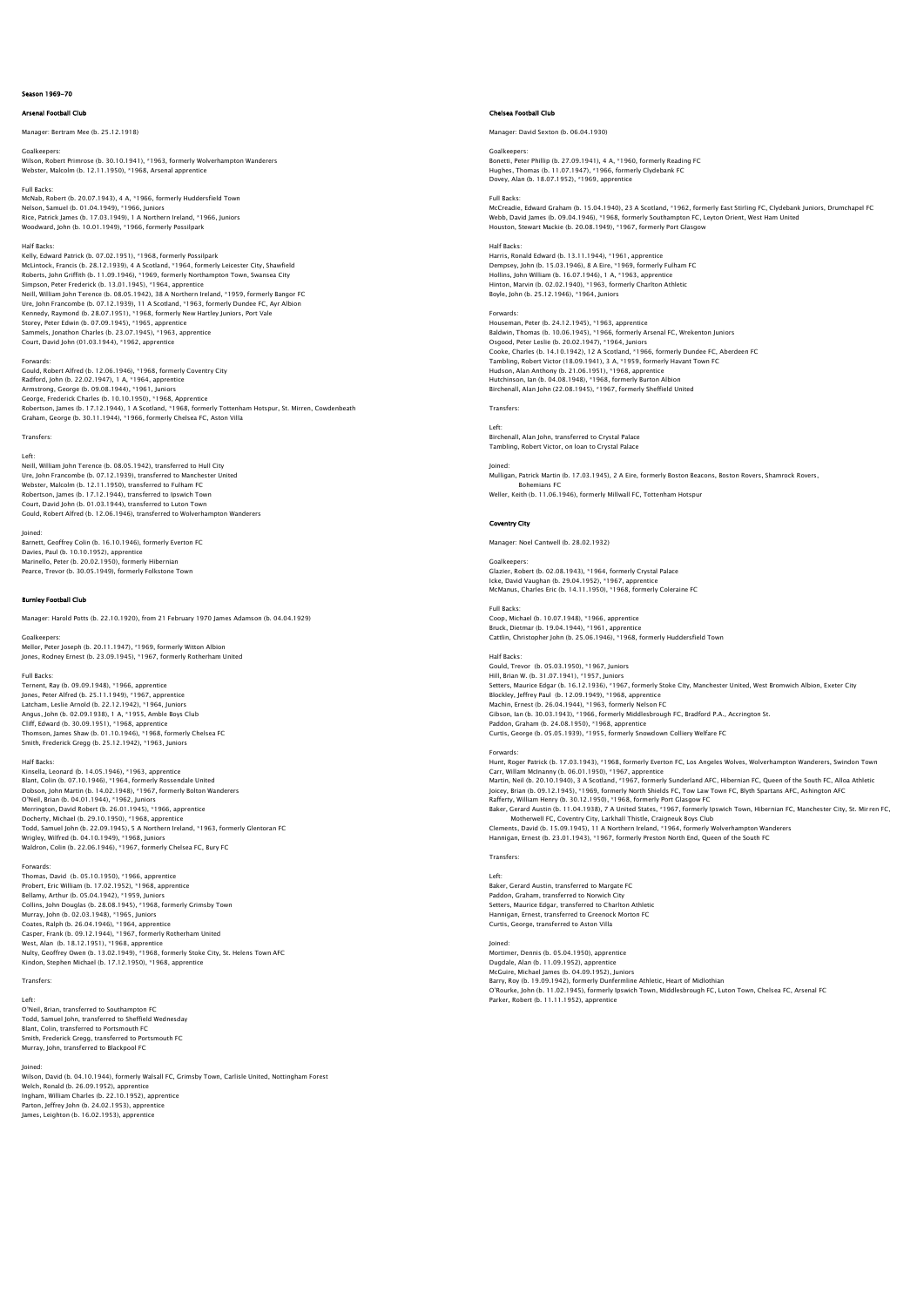# Season 1969-70

# Arsenal Football Club

# Manager: Bertram Mee (b. 25.12.1918)

Goalkeeper Wilson, Robert Primrose (b. 30.10.1941), \*1963, formerly Wolverhampton Wanderers Webster, Malcolm (b. 12.11.1950), \*1968, Arsenal apprentice

Full Backs: McNab, Robert (b. 20.07.1943), 4 A, \*1966, formerly Huddersfield Town Nelson, Samuel (b. 01.04.1949), \*1966, Juniors Rice, Patrick James (b. 17.03.1949), 1 A Northern Ireland, \*1966, Juniors Woodward, John (b. 10.01.1949), \*1966, formerly Possilpark

### Half Backs:

Kelly, Edward Patrick (b. 07.02.1951), \*1968, formerly Possilpark McLintock, Francis (b. 28.12.1939), 4 A Scotland, \*1964, formerly Leicester City, Shawfield Roberts, John Griffith (b. 11.09.1946), \*1969, formerly Northampton Town, Swansea City Simpson, Peter Frederick (b. 13.01.1945), \*1964, apprentice Neill, William John Terence (b. 08.05.1942), 38 A Northern Ireland, \*1959, formerly Bangor FC<br>Ure, John Francombe (b. 07.12.1939), 11 A Scotland, \*1963, formerly Dundee FC, Ayr Albion<br>Kennedy, Raymond (b. 28.07.1951), \*196 Sammels, Jonathon Charles (b. 23.07.1945), \*1963, apprentice Court, David John (01.03.1944), \*1962, apprentice

Forwards: Gould, Robert Alfred (b. 12.06.1946), \*1968, formerly Coventry City Radford, John (b. 22.02.1947), 1 A, \*1964, apprentice Armstrong, George (b. 09.08.1944), \*1961, Juniors George, Frederick Charles (b. 10.10.1950), \*1968, Apprentice Robertson, James (b. 17.12.1944), 1 A Scotland, \*1968, formerly Tottenham Hotspur, St. Mirren, Cowdenbeath<br>Graham, George (b. 30.11.1944), \*1966, formerly Chelsea FC, Aston Villa

Transfers: Left:

Neill, William John Terence (b. 08.05.1942), transferred to Hull City Ure, John Francombe (b. 07.12.1939), transferred to Manchester United Webster, Malcolm (b. 12.11.1950), transferred to Fulham FC Robertson, James (b. 17.12.1944), transferred to Ipswich Town Court, David John (b. 01.03.1944), transferred to Luton Town Gould, Robert Alfred (b. 12.06.1946), transferred to Wolverhampton Wanderers

Joined: Barnett, Geoffrey Colin (b. 16.10.1946), formerly Everton FC Davies, Paul (b. 10.10.1952), apprentice Marinello, Peter (b. 20.02.1950), formerly Hibernian Pearce, Trevor (b. 30.05.1949), formerly Folkstone Town

## Burnley Football Club

Manager: Harold Potts (b. 22.10.1920), from 21 February 1970 James Adamson (b. 04.04.1929)

Mellor, Peter Joseph (b. 20.11.1947), \*1969, formerly Witton Albion Jones, Rodney Ernest (b. 23.09.1945), \*1967, formerly Rotherham United

# Full Backs:

Goalkeepers:

Ternent, Ray (b. 09.09.1948), \*1966, apprentice Jones, Peter Alfred (b. 25.11.1949), \*1967, apprentice<br>Latcham, Leslie Arnold (b. 22.12.1942), \*1964, Juniors<br>Angus, John (b. 02.09.1938), 1 A, \*1955, Amble Boys Club<br>Cliff, Edward (b. 30.09.1951), \*1968, apprentice<br>Thomso

Half Backs:

Kinsella, Leonard (b. 14.05.1946), \*1963, apprentice<br>Blant, Colin (b. 07.10.1946), \*1964, formerly Rossendale United<br>Dobson, John Martin (b. 14.02.1948), \*1967, formerly Bolton Wanderers O'Neil, Brian (b. 04.01.1944), \*1962, Juniors<br>Merrington, David Robert (b. 26.0.11945), \*1966, apprentice<br>Docherty, Michael (b. 29.10.1950), \*1968, apprentice<br>Todd, Samuel John (b. 22.09.1945), 5 A Northern Ireland, \*1963,

Forwards: Thomas, David (b. 05.10.1950), \*1966, apprentice Probert, Eric William (b. 17.02.1952), \*1968, apprentice Bellamy, Arthur (b. 05.04.1942), \*1959, Juniors Collins, John Douglas (b. 28.08.1945). † 1968, formerly Grimsby Town<br>Murray, John (b. 02.03.1948), \*1965, Juniors<br>Coates, Ralph (b. 26.04.1946), \*1964, apprentice<br>Casper, Frank (b. 09.12.1951), \*1968, apprentice<br>West, Alan Nulty, Geoffrey Owen (b. 13.02.1949), \*1968, formerly Stoke City, St. Helens Town AFC Kindon, Stephen Michael (b. 17.12.1950), \*1968, apprentice

Transfers:

Left: O'Neil, Brian, transferred to Southampton FC Todd, Samuel John, transferred to Sheffield Wednesday Blant, Colin, transferred to Portsmouth FC Smith, Frederick Gregg, transferred to Portsmouth FC Murray, John, transferred to Blackpool FC

Joined: Wilson, David (b. 04.10.1944), formerly Walsall FC, Grimsby Town, Carlisle United, Nottingham Forest Welch, Ronald (b. 26.09.1952), apprentice Ingham, William Charles (b. 22.10.1952), apprentice Parton, Jeffrey John (b. 24.02.1953), apprentice James, Leighton (b. 16.02.1953), apprentice

# Chelsea Football Club

Manager: David Sexton (b. 06.04.1930)

Goalkeepers: Bonetti, Peter Phillip (b. 27.09.1941), 4 A, \*1960, formerly Reading FC Hughes, Thomas (b. 11.07.1947), \*1966, formerly Clydebank FC Dovey, Alan (b. 18.07.1952), \*1969, apprentice

### Full Backs

McCreadie, Edward Graham (b. 15.04.1940), 23 A Scotland, \*1962, formerly East Stirling FC, Clydebank Juniors, Drumchapel FC<br>Webb, David James (b. 09.04.1946), \*1968, formerly Southampton FC, Leyton Orient, West Ham United<br>

### Half Backs:

Harris, Ronald Edward (b. 13.11.1944), \*1961, apprentice<br>Dempsey, John (b. 15.03.1946), 8 A Eire, \*1969, formerly Fulham FC<br>Hollins, John William (b. 16.07.1946), 1 A, \*1963, apprentice<br>Hinton, Marvin (b. 02.02.1940), \*196 Boyle, John (b. 25.12.1946), \*1964, Juniors

Forwards:

warus.<br>iseman, Peter (b. 24.12.1945), \*1963, apprentice Baldwin, Thomas (b. 10.06.1945), \*1966, formerly Arsenal FC, Wrekenton Juniors Osgood, Peter Leslie (b. 20.02.1947), \*1964, Juniors<br>Cooke, Charles (b. 14.10.1942), 12 A Scotland, \*1966, formerly Dundee FC, Aberdeen FC<br>Tambling, Robert Victor (18.09.1941), 3 A, \*1959, formerly Havant Town FC<br>Hudson, A Hutchinson, Ian (b. 04.08.1948), \*1968, formerly Burton Albion Birchenall, Alan John (22.08.1945), \*1967, formerly Sheffield United

Transfers:

Left: Birchenall, Alan John, transferred to Crystal Palace Tambling, Robert Victor, on loan to Crystal Palace

Joined: Mulligan, Patrick Martin (b. 17.03.1945), 2 A Eire, formerly Boston Beacons, Boston Rovers, Shamrock Rovers, Bohemians FC Weller, Keith (b. 11.06.1946), formerly Millwall FC, Tottenham Hotspur

Manager: Noel Cantwell (b. 28.02.1932)

# Coventry City

Goalkeepers: Glazier, Robert (b. 02.08.1943), \*1964, formerly Crystal Palace Icke, David Vaughan (b. 29.04.1952), \*1967, apprentice McManus, Charles Eric (b. 14.11.1950), \*1968, formerly Coleraine FC

Full Backs: Coop, Michael (b. 10.07.1948), \*1966, apprentice<br>Bruck, Dietmar (b. 19.04.1944), \*1961, apprentice<br>Cattlin, Christopher John (b. 25.06.1946), \*1968, formerly Huddersfield Town

Half Backs: Gould, Trevor (b. 05.03.1950), \*1967, Juniors<br>Hill, Brian W. (b. 31.07.1941), \*1957, Juniors<br>Setters, Maurice Edgar (b. 16.12.1936), \*1967, formerly Stoke City, Manchester United, West Bromwich Albion, Exeter City Blockley, Jeffrey Paul (b. 12.09.1949), \*1968, apprentice

Machin, Ernest (b. 26.04.1944), \*1963, formerly Nelson FC<br>Gibson, Ian (b. 30.03.1943), \*1966, formerly Middlesbrough FC, Bradford P.A., Accrington St.<br>Paddon, Graham (b. 24.08.1950), \*1968, apprentice<br>Curtis, George (b. 05

Forwards:<br>Hunt, Roger Patrick (b. 17.03.1943), \*1968, formerly Everton FC, Los Angeles Wolves, Wolverhampton Wanderers, Swindon Town<br>Carr, Willam McInanny (b. 06.01.1950), \*1967, apprentice<br>Martin, Neil (b. 20.10.1940), 3 Baker, Gerard Austin (b. 11.04.1938), 7 A United States, \*1967, formerly Ipswich Town, Hibernian FC, Manchester City, St. Mirren FC,<br>Motherwell FC, Coventry City, Larkhall Thistle, Craigneuk Boys Club<br>Clements, David (b. 1 **Transfers** 

Left: Baker, Gerard Austin, transferred to Margate FC Paddon, Graham, transferred to Norwich City Setters, Maurice Edgar, transferred to Charlton Athletic Hannigan, Ernest, transferred to Greenock Morton FC Curtis, George, transferred to Aston Villa

# Joined:

Mortimer, Dennis (b. 05.04.1950), apprentice Dugdale, Alan (b. 11.09.1952), apprentice<br>McGuire, Michael James (b. 04.09.1952), Juniors<br>Barry, Roy (b. 19.09.1942), formerly Dunfermline Athletic, Heart of Midlothian<br>O'Rourke, John (b. 11.02.1945), formerly Ipswich Town Parker, Robert (b. 11.11.1952), apprentice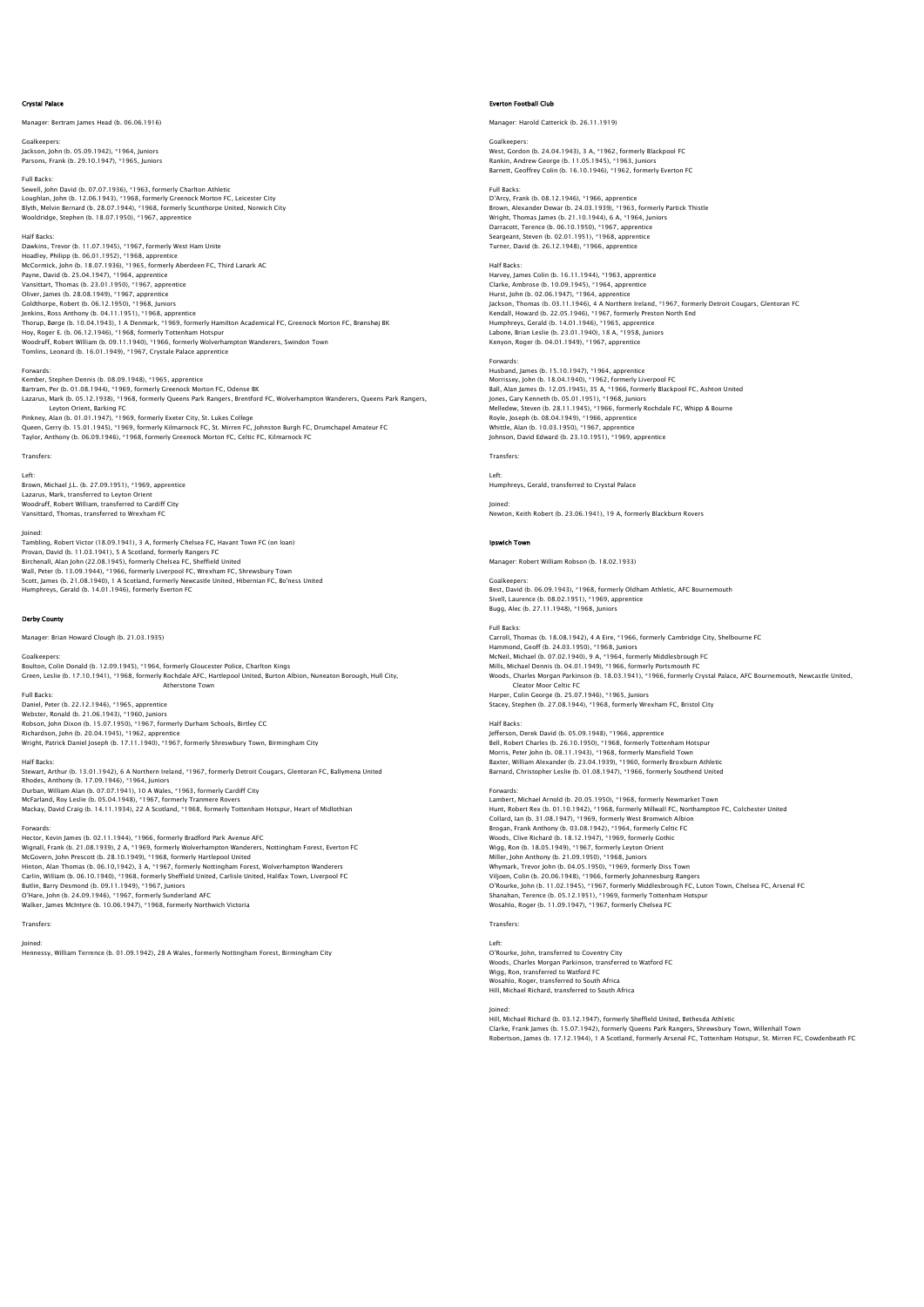### Crystal Palace

.<br>Mager: Bertram James Head (b. 06.06.1916)

Goalkeepers: Jackson, John (b. 05.09.1942), \*1964, Juniors Parsons, Frank (b. 29.10.1947), \*1965, Juniors

Full Backs: Sewell, John David (b. 07.07.1936), \*1963, formerly Charlton Athletic Loughlan, John (b. 12.06.1943), \*1968, formerly Greenock Morton FC, Leicester City<br>Blyth, Melvin Bernard (b. 28.07.1944), \*1968, formerly Scunthorpe United, Norwich City<br>Wooldridge, Stephen (b. 18.07.1950), \*1967, apprenti

Half Backs: Dawkins, Trevor (b. 11.07.1945), \*1967, formerly West Ham Unite Hoadley, Philipp (b. 06.01.1952), \*1968, apprentice McCormick, John (b. 18.07.1936), \*1965, formerly Aberdeen FC, Third Lanark AC Payne, David (b. 25.04.1947), \*1964, apprentice Vansittart, Thomas (b. 23.01.1950), \*1967, apprentice Oliver, James (b. 28.08.1949); † 1967, apprentice<br>Coldthorpe, Robert (b. 06.12.1950), † 1968, Juniors<br>Jenkins, Ross Anthony (b. 04.11.1951), \*1968, apprentice<br>Thoy, Roger E. (b. 06.12.1946), † 1968, formerly Tottenham Hots .<br>odruff, Robert William (b. 09.11.1940), \*1966, formerly Wolverhampton Wanderers, Swindon Town Tomlins, Leonard (b. 16.01.1949), \*1967, Crystale Palace apprentice

# Forwards:

Kember, Stephen Dennis (b. 08.09.1948), \*1965, apprentice Bartram, Per (b. 01.08.1944), \*1969, formerly Greenock Morton FC, Odense BK<br>Lazarus, Mark (b. 05.12.1938), \*1968, formerly Queens Park Rangers, Brentford FC, Wolverhampton Wanderers, Queens Park Rangers, Leyton Orient, Barking FC<br>Pinkney, Alan (b. 01.01.1947), \*1969, formerly Exeter City, St. Lukes College<br>Queen, Gerry (b. 15.01.1945), \*1969, formerly Kilmarnock FC, St. Mirren FC, Johnston Burgh FC, Drumchapel Amateur FC<br>T

# Transfers:

Left:

Brown, Michael J.L. (b. 27.09.1951), \*1969, apprentice Lazarus, Mark, transferred to Leyton Orient Woodruff, Robert William, transferred to Cardiff City Vansittard, Thomas, transferred to Wrexham FC

Joined: Tambling, Robert Victor (18.09.1941), 3 A, formerly Chelsea FC, Havant Town FC (on loan) Provan, David (b. 11.03.1941), 5 A Scotland, formerly Rangers FC<br>Birchenall, Alan John (22.08.1945), formerly Chelsea FC, Sheffield United<br>Wall, Peter (b. 13.09.1944), \*1966, formerly Liverpool FC, Wrexham FC, Shrewsbury T Scott, James (b. 21.08.1940), 1 A Scotland, formerly Newcastle United, Hibernian FC, Bo'ness United Humphreys, Gerald (b. 14.01.1946), formerly Everton FC

# Derby County

Manager: Brian Howard Clough (b. 21.03.1935)

# Goalkeeper

Boulton, Colin Donald (b. 12.09.1945), \*1964, formerly Gloucester Police, Charlton Kings<br>Green, Leslie (b. 17.10.1941), \*1968, formerly Rochdale AFC, Hartlepool United, Burton Albion, Nuneaton Borough, Hull City, Atherstone Town

Full Backs:<br>Daniel, Peter (b. 22.12.1946), \*1965, apprentice<br>Webster, Ronald (b. 21.06.1943), \*1960, Juniors<br>Robson, John Dixon (b. 15.07.1950), \*1967, formerly Durham Schools, Birtley CC<br>Richardson, John (b. 20.04.1945),

Half Backs:<br>Stewart, Arthur (b. 13.01.1942), 6 A Northern Ireland, \*1967, formerly Detroit Cougars, Glentoran FC, Ballymena United<br>Rhodes, Anthony (b. 17.09.1946), \*1964, Juniors<br>Durban, William Alan (b. 07.07.1941), 10 A McFarland, Roy Leslie (b. 05.04.1948), \*1967, formerly Tranmere Rovers Mackay, David Craig (b. 14.11.1934), 22 A Scotland, \*1968, formerly Tottenham Hotspur, Heart of Midlothian

Forwards: Hector, Kevin James (b. 02.11.1944), \*1966, formerly Bradford Park Avenue AFC Wignall, Frank (b. 21.08.1939), 2 A, \*1969, formerly Wolverhampton Wanderers, Nottingham Forest, Everton FC<br>McCovern, John Prescott (b. 28.10.1949), \*1968, formerly Hartlepool United<br>Hinton, Alan Thomas (b. 06.10.1942), 3 Walker, James McIntyre (b. 10.06.1947), \*1968, formerly Northwich Victoria

# Transfers: Joined:

Hennessy, William Terrence (b. 01.09.1942), 28 A Wales, formerly Nottingham Forest, Birmingham City

### Everton Football Club

.<br>1919) nager: Harold Catterick (b. 26.11.1919

### Goalkeepers:

West, Gordon (b. 24.04.1943), 3.4, \*1962, formerly Blackpool FC Rankin, Andrew George (b. 11.05.1945), \*1963, Juniors Barnett, Geoffrey Colin (b. 16.10.1946), \*1962, formerly Everton FC

# Full Backs:

D'Arcy, Frank (b. 08.12.1946), \*1966, apprentice Brown, Alexander Dewar (b. 24.03.1939), \*1963, formerly Partick Thistle Wright, Thomas James (b. 21.10.1944), 6 A, \*1964, Juniors Darracott, Terence (b. 06.10.1950), \*1967, apprentice Seargeant, Steven (b. 02.01.1951), \*1968, apprentice Turner, David (b. 26.12.1948), \*1966, apprentice

Half Backs: Harvey, James Colin (b. 16.11.1944), \*1963, apprentice Clarke, Ambrose (b. 10.09.1945), \*1964, apprentice Hurst, John (b. 02.06.1947), \*1964, apprentice<br>Jackson, Thomas (b. 03.11.1946), 4 A Northern Ireland, \*1967, formerly Detroit Cougars, Glentoran FC<br>Kendall, Howard (b. 22.05.1946), \*1967, formerly Preston North End<br>Humphre Labone, Brian Leslie (b. 23.01.1940), 18 A, \*1958, Juniors Kenyon, Roger (b. 04.01.1949), \*1967, apprentice

Forwards: Husband, James (b. 15.10.1947), \*1964, apprentice Morrissey, John (b. 18.04.1940), \*1962, formerly Liverpool FC Ball, Alan James (b. 12.05.1945), 35 A, \*1966, formerly Blackpool FC, Ashton United Jones, Gary Kenneth (b. 05.01.1951), \*1968, Juniors<br>Melledew, Steven (b. 28.11.1945), \*1966, formerly Rochdale FC, Whipp & Bourne<br>Royle, Joseph (b. 08.04.1949), \*1966, apprentice<br>Whittle, Alan (b. 10.03.1950), \*1967, appre

# Transfers:

Left: Humphreys, Gerald, transferred to Crystal Palace

Joined: Newton, Keith Robert (b. 23.06.1941), 19 A, formerly Blackburn Rovers

# Ipswich Town

Manager: Robert William Robson (b. 18.02.1933)

Goalkeepers: Best, David (b. 06.09.1943), \*1968, formerly Oldham Athletic, AFC Bournemouth Sivell, Laurence (b. 08.02.1951), \*1969, apprentice Bugg, Alec (b. 27.11.1948), \*1968, Junior

Full Backs:

Carroll, Thomas (b. 18.08.1942), 4 A Eire, \*1966, formerly Cambridge City, Shelbourne FC Hammond, Geoff (b. 24.03.1950), \*1968, Juniors McNeil, Michael (b. 07.02.1940), 9 A, \*1964, formerly Middlesbrough FC<br>Mills, Michael Dennis (b. 04.01.1949), \*1966, formerly Portsmouth FC<br>Woods, Charles Morqan Parkinson (b. 18.03.1941), \*1966, formerly Crystal Palace, A Cleator Moor Celtic FC Harper, Colin George (b. 25.07.1946), \*1965, Juniors Stacey, Stephen (b. 27.08.1944), \*1968, formerly Wrexham FC, Bristol City

# Half Backs:

Jefferson, Derek David (b. 05.09.1948), \*1966, apprentice Bell, Robert Charles (b. 26.10.1950), \*1968, formerly Tottenham Hotspur<br>Morris, Peter John (b. 08.11.1943), \*1968, formerly Mansfield Town<br>Baxter, William Alexander (b. 23.04.1939), \*1960, formerly Broxburn Athletic<br>Barnar

### Forwards:

Lambert, Michael Arnold (b. 20.05.1950), \*1968, formerly Newmarket Town Hunt, Robert Rex (b. 01.10.1942), \*1968, formerly Millwall FC, Northampton FC, Colchester United<br>Collard, Ian (b. 31.08.1947), \*1969, formerly West Bromwich Albion<br>Brogan, Frank Anthony (b. 03.08.1942), \*1964, formerly Cel Wigg, Ron (b. 18.05.1949), \*1967, formerly Leyton Orient Miller, John Anthony (b. 21.09.1950), \*1968, Juniors<br>Whymark, Trevor John (b. 04.05.1950), \*1969, formerly Diss Town<br>Viljoen, Colin (b. 20.06.1948), \*1966, formerly Johannesburg Rangers<br>O'Rourke, John (b. 11.02.1945), \*196 Shanahan, Terence (b. 05.12.1951), \*1969, formerly Tottenham Hotspu Wosahlo, Roger (b. 11.09.1947), \*1967, formerly Chelsea FC

# Transfers:

Left: O'Rourke, John, transferred to Coventry City Woods, Charles Morgan Parkinson, transferred to Watford FC Wigg, Ron, transferred to Watford FC Wosahlo, Roger, transferred to South Africa Hill, Michael Richard, transferred to South Africa

Joined:<br>Hill, Michael Richard (b. 03.12.1947), formerly Sheffield United, Bethesda Athletic<br>Clarke, Frank James (b. 15.07.1942), formerly Queens Park Rangers, Shrewsbury Town, Willenhall Town<br>Robertson, James (b. 17.12.194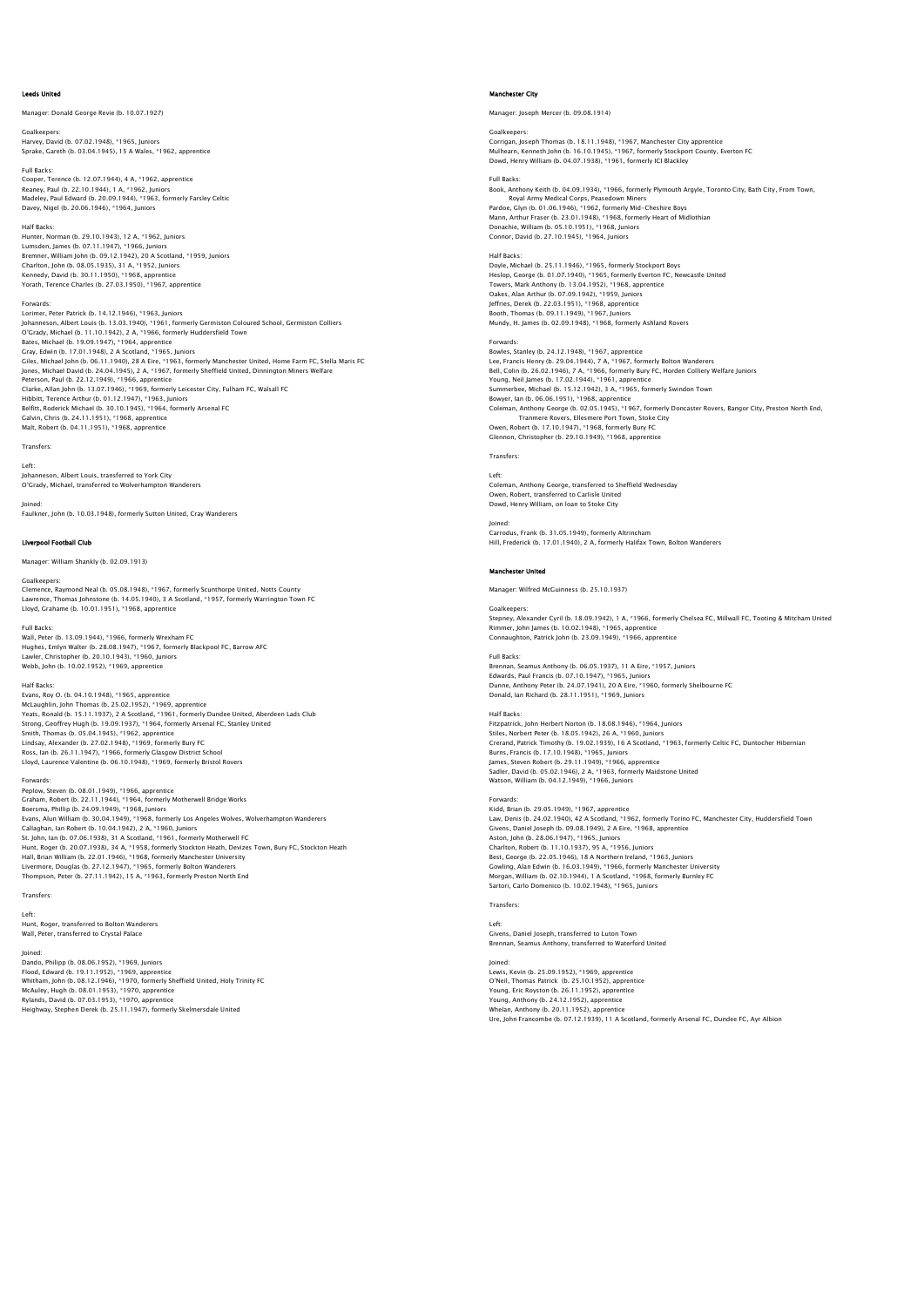### Leeds United

Manager: Donald George Revie (b. 10.07.1927)

Goalkeepers: Harvey, David (b. 07.02.1948), \*1965, Juniors Sprake, Gareth (b. 03.04.1945), 15 A Wales, \*1962, apprentice

Full Backs: Cooper, Terence (b. 12.07.1944), 4 A, \*1962, apprentice Reaney, Paul (b. 22.10.1944), 1 A, \*1962, Juniors Madeley, Paul Edward (b. 20.09.1944), \*1963, formerly Farsley Celtic Davey, Nigel (b. 20.06.1946), \*1964, Juniors

Half Backs: Hunter, Norman (b. 29.10.1943), 12 A, \*1962, Juniors Lumsden, James (b. 07.11.1947), \*1966, Juniors Bremner, William John (b. 09.12.1942), 20 A Scotland, \*1959, Juniors Charlton, John (b. 08.05.1935), 31 A, \*1952, Juniors Kennedy, David (b. 30.11.1950), \*1968, apprentice Yorath, Terence Charles (b. 27.03.1950), \*1967, apprentice

Forwards:<br>Lorimer, Peter Patrick (b. 14.12.1946), \*1963, Juniors<br>Johanneson, Albert Louis (b. 13.03.1940), \*1961, formerly Germiston Coloured School, Germiston Colliers<br>O'Grady, Michael (b. 11.10.1942), 2 A, \*1966, formerl Bates, Michael (b. 19.09.1947), \*1964, apprentice Gray, Edwin (b. 17.01.1948), 2 A Scotland, \*1965, Juniors Giles, Michael John (b. 06.11.1940), 28 A Eire, \*1963, formerly Manchester United, Home Farm FC, Stella Maris FC Jones, Michael David (b. 24.04.1945), 2 A, \*1967, formerly Sheffield United, Dinnington Miners Welfare Peterson, Paul (b. 22.12.1949), \*1966, apprentice Clarke, Allan John (b. 13.07.1946), \*1969, formerly Leicester City, Fulham FC, Walsall FC Hibbitt, Terence Arthur (b. 01.12.1947), \*1963, Juniors Belfitt, Roderick Michael (b. 30.10.1945), \*1964, formerly Arsenal FC Galvin, Chris (b. 24.11.1951), \*1968, apprentice Malt, Robert (b. 04.11.1951), \*1968, apprentice

Transfers:

### Left:

Johanneson, Albert Louis, transferred to York City O'Grady, Michael, transferred to Wolverhampton Wanderers

Joined: Faulkner, John (b. 10.03.1948), formerly Sutton United, Cray Wanderers

## Liverpool Football Club

Manager: William Shankly (b. 02.09.1913)

## Goalkeepers:

Clemence, Raymond Neal (b. 05.08.1948), \*1967, formerly Scunthorpe United, Notts County Lawrence, Thomas Johnstone (b. 14.05.1940), 3 A Scotland, \*1957, formerly Warrington Town FC Lloyd, Grahame (b. 10.01.1951), \*1968, apprentice

Full Backs:

Wall, Peter (b. 13.09.1944), \*1966, formerly Wrexham FC Hughes, Emlyn Walter (b. 28.08.1947), \*1967, formerly Blackpool FC, Barrow AFC Lawler, Christopher (b. 20.10.1943), \*1960, Juniors Webb, John (b. 10.02.1952), \*1969, apprentice

Half Backs:<br>Evans. Rov O. (b. 04.10.1948). \*1965. apprentice Evans, Roy O. (b. 04.10.1948), \*1965, apprentice<br>McLaughlin, John Thomas (b. 25.02.1952), \*1969, apprentice<br>Yeats, Ronald (b. 15.11.1937), 2 A Scotland, \*1961, formerly Dundee United, Aberdeen Lads Club<br>Strong, Geoffrey Hu Ross, Ian (b. 26.11.1947), \*1966, formerly Glasgow District School Lloyd, Laurence Valentine (b. 06.10.1948), \*1969, formerly Bristol Rovers

### Forwards:

Peplow, Steven (b. 08.01.1949), \*1966, apprentice Graham, Robert (b. 22.11.1944), \*1964, formerly Motherwell Bridge Works<br>Boersma, Phillip (b. 22.10.1949), \*1968, Juniors<br>Evans, Alun William (b. 30.04.1949), \*1968, formerly Los Angeles Wolves, Wolverhampton Wanderers<br>Call Hunt, Roger (b. 20.07.1938), 34 A, \*1958, formerly Stockton Heath, Devizes Town, Bury FC, Stockton Heath Hall, Brian William (b. 22.01.1946), \*1968, formerly Manchester University<br>Livermore, Douglas (b. 27.12.1947), \*1965, formerly Bolton Wanderers<br>Thompson, Peter (b. 27.11.1942), 15 A, \*1963, formerly Preston North End

# **Transfers**

Left: Hunt, Roger, transferred to Bolton Wanderers Wall, Peter, transferred to Crystal Palace

Joined:<br>Dando, Philipp (b. 08.06.1952), \*1969, Juniors<br>Flood, Edward (b. 19.11.1952), \*1969, apprentice<br>Whitham, John (b. 08.12.1946), \*1970, apprentice<br>McAuley, Hugh (b. 08.01.1953), \*1970, apprentice Rylands, David (b. 07.03.1953), \*1970, apprentice Heighway, Stephen Derek (b. 25.11.1947), formerly Skelmersdale United

## Manchester City

Manager: Joseph Mercer (b. 09.08.1914)

Goalkeepers:

Corrigan, Joseph Thomas (b. 18.11.1948), \*1967, Manchester City apprentice Mulhearn, Kenneth John (b. 16.10.1945), \*1967, formerly Stockport County, Everton FC Dowd, Henry William (b. 04.07.1938), \*1961, formerly ICI Blackley

### Full Backs:

Book, Anthony Keith (b. 04.09.1934), \*1966, formerly Plymouth Argyle, Toronto City, Bath City, From Town, Royal Army Medical Corps, Peasedown Miners<br>Pardoe, Glyn (b. 01.06.1946), \*1962, formerly Mid-Cheshire Boys<br>Mann, Arthur Fraser (b. 23.01.1948), \*1968, formerly Heart of Midlothian<br>Donachie, William (b. 05.10.1995), \*1968,

### Half Backs:

Doyle, Michael (b. 25.11.1946), \*1965, formerly Stockport Boys Heslop, George (b. 01.07.1940), \*1965, formerly Everton FC, Newcastle United Towers, Mark Anthony (b. 13.04.1952), \*1968, apprentice Oakes, Alan Arthur (b. 07.09.1942), \*1959, Juniors Jeffries, Derek (b. 22.03.1951), \*1968, apprentice Booth, Thomas (b. 09.11.1949), \*1967, Juniors Mundy, H. James (b. 02.09.1948), \*1968, formerly Ashland Rovers

# Forwards:

Bowles, Stanley (b. 24.12.1948), \*1967, apprentice<br>Lee, Francis Henry (b. 29.04.1944), 7 A, \*1967, formerly Bolton Wanderers<br>Bell, Colin (b. 26.02.1946), 7 A, \*1966, formerly Bury FC, Horden Colliery Welfare Juniors Young, Neil James (b. 17.02.1944), \*1961, apprentice Summerbee, Michael (b. 15.12.1942), 3 A, \*1965, formerly Swindon Town Bower, lan (b. 06.06.1951), \* 1968, apprenties<br>Coleman, Anthony George (b. 02.05.1945), \*1967, formerly Doncaster Rovers, Bangor City, Preston North End,<br>Trammere Rovers, Ellesmere Port Town, Stoke City<br>Owen, Robert (b. 17

### Transfers:

Left: Coleman, Anthony George, transferred to Sheffield Wednesday Owen, Robert, transferred to Carlisle United Dowd, Henry William, on loan to Stoke City

Joined: Carrodus, Frank (b. 31.05.1949), formerly Altrincham Hill, Frederick (b. 17.01.1940), 2 A, formerly Halifax Town, Bolton Wanderers

### Manchester United

Manager: Wilfred McGuinness (b. 25.10.1937)

### Goalke

Stepney, Alexander Cyril (b. 18.09.1942), 1 A, \*1966, formerly Chelsea FC, Millwall FC, Tooting & Mitcham United Rimmer, John James (b. 10.02.1948), \*1965, apprentice Connaughton, Patrick John (b. 23.09.1949), \*1966, apprentice

### Full Backs:

Brennan, Seamus Anthony (b. 06.05.1937), 11 A Eire, \*1957, Juniors<br>Edwards, Paul Francis (b. 07.10.1947), \*1965, Juniors<br>Dunne, Anthony Peter (b. 24.07.1941), ?0 A Eire, \*1960, formerly Shelbourne FC<br>Donald, Ian Richard (b

### Half Backs

Fitzpatrick, John Herbert Norton (b. 18.08.1946), \*1964, Juniors Stiles, Norbert Peter (b. 18.05.1942), 26 A, \*1960, Juniors Crerand, Patrick Timothy (b. 19.02.1939), 16 A Scotland, \*1963, formerly Celtic FC, Duntocher Hibernian Burns, Francis (b. 17.10.1948), \*1965, Juniors<br>James, Steven Robert (b. 29.11.1949), \*1966, apprentice<br>Sadler, David (b. 05.02.1946), 2 A, \*1963, formerly Maidstone United<br>Watson, William (b. 04.12.1949), \*1966, Juniors

Forwards:<br>Kidd, Brian (b. 29.05.1949), \*1967, apprentice<br>Law, Denis (b. 24.02.1940), 42 A Scotland, \*1962, formerly Torino FC, Manchester City, Huddersfield Towr<br>Givens, Daniel Joseph (b. 09.08.1949), 2 A Eire, \*1968, appr Best, George (b. 22.05.1946), 18 A Northern Ireland, \*1963, Juniors<br>Gowling, Alan Edwin (b. 16.03.1949), \*1966, formerly Manchester University<br>Morgan, William (b. 02.10.1944), 1 A Scotland, \*1968, formerly Burnley FC<br>Sarto

# Transfers:

Left: Givens, Daniel Joseph, transferred to Luton Town Brennan, Seamus Anthony, transferred to Waterford United

Joined: Lewis, Kevin (b. 25.09.1952), \*1969, apprentice O'Neil, Thomas Patrick (b. 25.10.1952), apprentice Young, Eric Royston (b. 26.11.1952), apprentice Young, Anthony (b. 24.12.1952), apprentice<br>Whelan, Anthony (b. 20.11.1952), apprentice<br>Ure, John Francombe (b. 07.12.1939), 11 A Scotland, formerly Arsenal FC, Dundee FC, Ayr Albion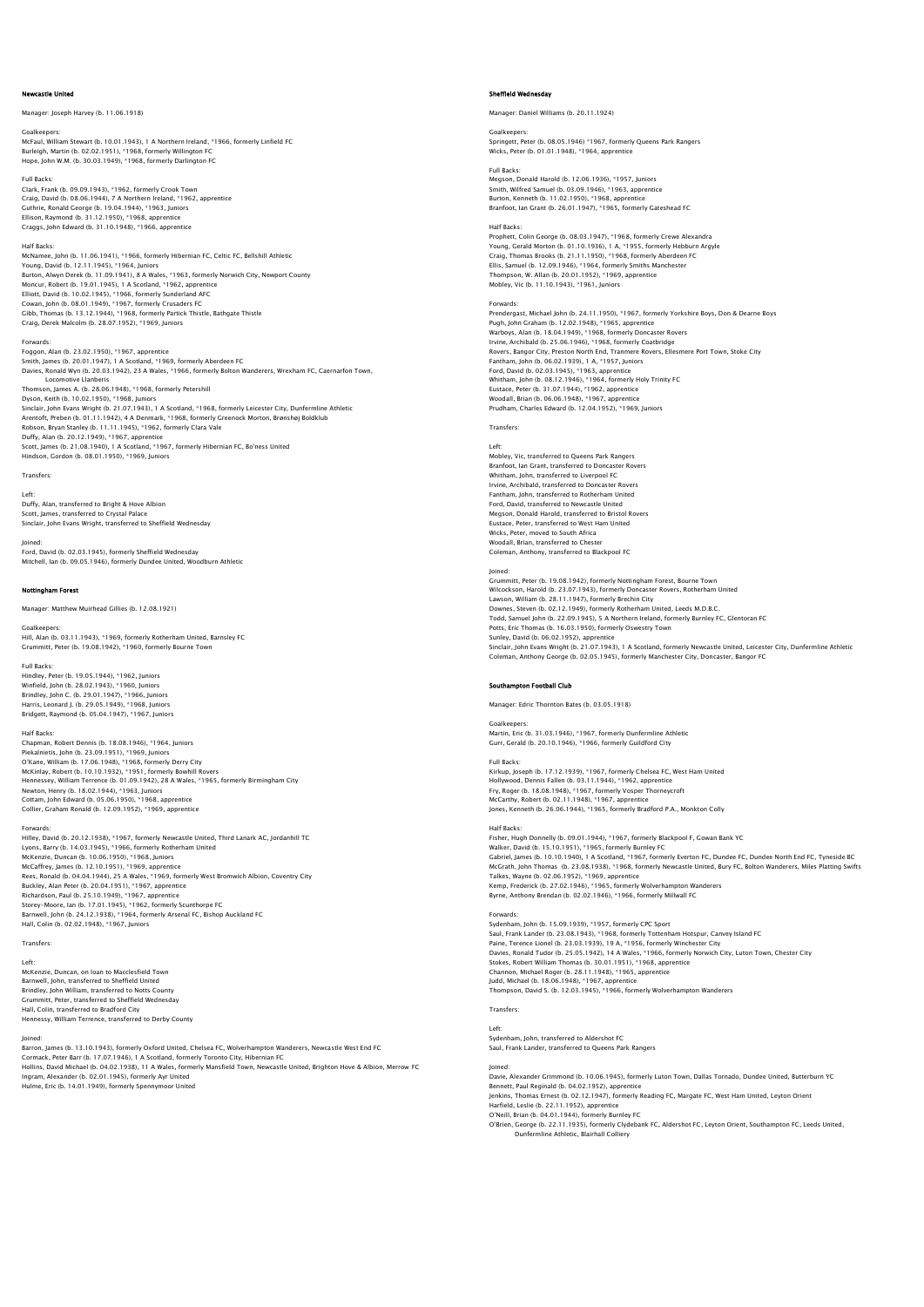### Newcastle United

# Manager: Joseph Harvey (b. 11.06.1918)

Goalkeepers:

McFaul, William Stewart (b. 10.01.1943), 1 A Northern Ireland, \*1966, formerly Linfield FC Burleigh, Martin (b. 02.02.1951), \*1968, formerly Willington FC Hope, John W.M. (b. 30.03.1949), \*1968, formerly Darlington FC

Full Backs:

Clark, Frank (b. 09.09.1943), \*1962, formerly Crook Town Craig, David (b. 08.06.1944), 7 A Northern Ireland, \*1962, apprentice<br>Guthrie, Ronald George (b. 19.04.1944), \*1963, Juniors<br>Ellison, Raymond (b. 31.12.1950), \*1968, apprentice<br>Craqgs, John Edward (b. 31.10.1948), \*1966, a

# Half Backs:

McNamee, John (b. 11.06.1941), \*1966, formerly Hibernian FC, Celtic FC, Bellshill Athletic<br>Young, David (b. 12.11.1945), \*1964, Juniors<br>Burton, Alwyn Derek (b. 11.09.1941), 8 A Wales, \*1963, formerly Norwich City, Newport Moncur, Robert (b. 19.01.1945), 1 A Scotland, \*1962, apprentice Elliott, David (b. 10.02.1945), \*1966, formerly Sunderland AFC<br>Cowan, John (b. 08.01.1949), \*1967, formerly Crusaders FC<br>Gibb, Thomas (b. 13.12.1944), \*1968, formerly Partick Thistle, Bathgate Thistle<br>Craiq, Derek Malcolm

### Forwards:

Foggon, Alan (b. 23.02.1950), \*1967, apprentice<br>Smith, James (b. 20.01.1947), 1 A Scotland, \*1969, formerly Aberdeen FC<br>Davies, Ronald Wyn (b. 20.03.1942), 23 A Wales, \*1966, formerly Bolton Wanderers, Wrexham FC, Caernarf Locomotive Llanberis Thomson, James A. (b. 28.06.1948), \*1968, formerly Petershill Dyson, Keith (b. 10.02.1950), \*1968, Juniors<br>Sinclair, John Evans Wright (b. 21.07.1943), 1 A Scotland, \*1968, formerly Leicester City, Dunfermline Athletic<br>Arentoft, Preben (b. 01.11.1942), 4 A Denmark, \*1968, formerly Gr

Duffy, Alan (b. 20.12.1949), \*1967, apprentice<br>Scott, James (b. 21.08.1940), 1 A Scotland, \*1967, formerly Hibernian FC, Bo'ness United<br>Hindson, Gordon (b. 08.01.1950), \*1969, Juniors

Transfers:

Left: Duffy, Alan, transferred to Bright & Hove Albion Scott, James, transferred to Crystal Palace Sinclair, John Evans Wright, transferred to Sheffield Wednesday

Joined: Ford, David (b. 02.03.1945), formerly Sheffield Wednesday Mitchell, Ian (b. 09.05.1946), formerly Dundee United, Woodburn Athletic

### Nottingham Forest

Manager: Matthew Muirhead Gillies (b. 12.08.1921)

Goalkeepers: Hill, Alan (b. 03.11.1943), \*1969, formerly Rotherham United, Barnsley FC Grummitt, Peter (b. 19.08.1942), \*1960, formerly Bourne Town

Full Backs: Hindley, Peter (b. 19.05.1944), \*1962, Juniors Winfield, John (b. 28.02.1943), \*1960, Juniors Brindley, John C. (b. 29.01.1947), \*1966, Juniors Harris, Leonard J. (b. 29.05.1949), \*1968, Juniors Bridgett, Raymond (b. 05.04.1947), \*1967, Juniors

# Half Backs:

Chapman, Robert Dennis (b. 18.08.1946), \*1964, Juniors Piekalniets, John (b. 23.09.1951), \*1969, Juniors<br>O'Kane, William (b. 17.06.1948), \*1968, formerly Derry City<br>McKinlay, Robert (b. 10.10.1932), \*1951, formerly Bowhill Rovers<br>Hennessey, William Terrence (b. 01.09.1942), 28 Cottam, John Edward (b. 05.06.1950), \*1968, apprentice Collier, Graham Ronald (b. 12.09.1952), \*1969, apprentice

Forwards: Hilley, David (b. 20.12.1938), \*1967, formerly Newcastle United, Third Lanark AC, Jordanhill TC Lyons, Barry (b. 14.03.1945), \*1966, formerly Rotherham United<br>McKenzie, Duncan (b. 10.06.1950), \*1968, Juniors<br>McCaffrey, James (b. 12.10.1951), \*1969, apprentice<br>Rees, Ronald (b. 04.04.1944), 25 A Wales, \*1969, formerly Storey-Moore, Ian (b. 17.01.1945), \*1962, formerly Scunthorpe FC<br>Barnwell, John (b. 24.12.1938), \*1964, formerly Arsenal FC, Bishop Auckland FC<br>Hall, Colin (b. 02.02.1948), \*1967, Juniors

Transfers:

Left: McKenzie, Duncan, on loan to Macclesfield Town Barnwell, John, transferred to Sheffield United Brindley, John William, transferred to Notts County ers ...<br>State Peter, transferred to Sheffield Wednesday Hall, Colin, transferred to Bradford City Hennessy, William Terrence, transferred to Derby County

### Joined:

Barron, James (b. 13.10.1943), formerly Oxford United, Chelsea FC, Wolverhampton Wanderers, Newcastle West End FC Cormack, Peter Barr (b. 17.07.1946), 1 A Scotland, formerly Toronto City, Hibernian FC<br>Hollins, David Michael (b. 04.02.1938), 11 A Wales, formerly Mansfield Town, Newcastle United, Brighton Hove & Albion, Merrow FC<br>Ingram

### Sheffield Wednesday

Manager: Daniel Williams (b. 20.11.1924)

Goalkeepers: Springett, Peter (b. 08.05.1946) \*1967, formerly Queens Park Rangers Wicks, Peter (b. 01.01.1948), \*1964, apprentic

Full Backs: Megson, Donald Harold (b. 12.06.1936), \*1957, Juniors Smith, Wilfred Samuel (b. 03.09.1946), \*1963, apprentice Burton, Kenneth (b. 11.02.1950), \*1968, appr Branfoot, Ian Grant (b. 26.01.1947), \*1965, formerly Gateshead FC

### Half Backs:

Prophett, Colin George (b. 08.03.1947), \*1968, formerly Crewe Alexandra Young, Gerald Morton (b. 01.10.1936), 1 A, \*1955, formerly Hebburn Argyle<br>Craig, Thomas Brooks (b. 21.11.1950), \*1968, formerly Aberdeen FC<br>Ellis, Samuel (b. 12.09.1946), \*1964, formerly Smiths Manchester<br>Thompson, W. Alla

Forwards:<br>Prendergast, Michael John (b. 24.11.1950), \*1967, formerly Yorkshire Boys, Don & Dearne Boys<br>Pugh, John Graham (b. 12.02.1948), \*1965, apprentice<br>Warboys, Alan (b. 18.04.1949), \*1968, formerly Doncaster Rovers<br>Ir Eustace, Peter (b. 31.07.1944), \*1962, apprentice Woodall, Brian (b. 06.06.1948), \*1967, apprentice Prudham, Charles Edward (b. 12.04.1952), \*1969, Juniors

**Transfers** 

Left: Mobley, Vic, transferred to Queens Park Rangers Branfoot, Ian Grant, transferred to Doncaster Rovers Whitham, John, transferred to Liverpool FC Irvine, Archibald, transferred to Doncaster Rovers Fantham, John, transferred to Rotherham United Ford, David, transferred to Newcastle United Megson, Donald Harold, transferred to Bristol Rovers Eustace, Peter, transferred to West Ham United Wicks, Peter, moved to South Africa Woodall, Brian, transferred to Chester Coleman, Anthony, transferred to Blackpool FC

Joined: Grummitt, Peter (b. 19.08.1942), formerly Nottingham Forest, Bourne Town Wilcockson, Harold (b. 23.07.1943), formerly Doncaster Rovers, Rotherham United Lawson, William (b. 28.11.1947), formerly Brechin City Downes, Steven (b. 02.12.1949), formerly Rotherham United, Leeds M.D.B.C. Todd, Samuel John (b. 22.09.1945), 5 A Northern Ireland, formerly Burnley FC, Glentoran FC<br>Potts, Eric Thomas (b. 16.03.1950), formerly Oswestry Town<br>Sunley, David (b. 06.02.1952), apprentice Sinclair, John Evans Wright (b. 21.07.1943), 1 A Scotland, formerly Newcastle United, Leicester City, Dunfermline Athletic Coleman, Anthony George (b. 02.05.1945), formerly Manchester City, Doncaster, Bangor FC

# Southampton Football Club

Manager: Edric Thornton Bates (b. 03.05.1918)

Goalkeepers: Martin, Eric (b. 31.03.1946), \*1967, formerly Dunfermline Athletic

Gurr, Gerald (b. 20.10.1946), \*1966, formerly Guildford City

Full Backs:<br>Kirkup, Joseph (b. 17.12.1939), \*1967, formerly Chelsea FC, West Ham United<br>Hollywood, Dennis Fallen (b. 03.11.1944), \*1962, apprentice<br>Fry, Roger (b. 18.08.1948), \*1967, formerly Vosper Thorneycroft<br>McCarthy, Jones, Kenneth (b. 26.06.1944), \*1965, formerly Bradford P.A., Monkton Colly

# Half Backs:

Fisher, Hugh Donnelly (b. 09.01.1944), \*1967, formerly Blackpool F, Gowan Bank YC Walker, David (b. 15.10.1951), \*1965, formerly Burnley FC<br>Gabriel, James (b. 10.10.1940), 1 A Scotland, \*1967, formerly Everton FC, Dundee FC, Dundee North End FC, Tyneside BC<br>McGrath, John Thomas (b. 23.08.1938), \*1968, Byrne, Anthony Brendan (b. 02.02.1946), \*1966, formerly Millwall FC

Forwards:<br>Sydenham, John (b. 15.09.1939), \*1957, formerly CPC Sport<br>Saul, Frank Lander (b. 23.08.1943), \*1968, formerly Tottenham Hotspur, Canvey Island FC<br>Paine, Terence Lionel (b. 23.03.1939), 19 A, \*1956, formerly Winch Davies, Ronald Tudor (b. 25.05.1942), 14 A Wales, \*1966, formerly Norwich City, Luton Town, Chester City<br>Stokes, Robert William Thomas (b. 30.01.1951), \*1968, apprentice<br>Channon, Michael Roger (b. 28.11.1948), \*1965, appre

# Transfers:

Left: Sydenham, John, transferred to Aldershot FC Saul, Frank Lander, transferred to Queens Park Rangers

Joined: Davie, Alexander Grimmond (b. 10.06.1945), formerly Luton Town, Dallas Tornado, Dundee United, Butterburn YC Bennett, Paul Reginald (b. 04.02.1952), apprentice Jenkins, Thomas Ernest (b. 02.12.1947), formerly Reading FC, Margate FC, West Ham United, Leyton Orient

Harfield, Leslie (b. 22.11.1952), apprentice<br>O'Neill, Brian (b. 04.01.1944), formerly Burnley FC<br>O'Brien, George (b. 22.11.1935), formerly Clydebank FC, Aldershot FC, Leyton Orient, Southampton FC, Leeds United, Dunfermline Athletic, Blairhall Colliery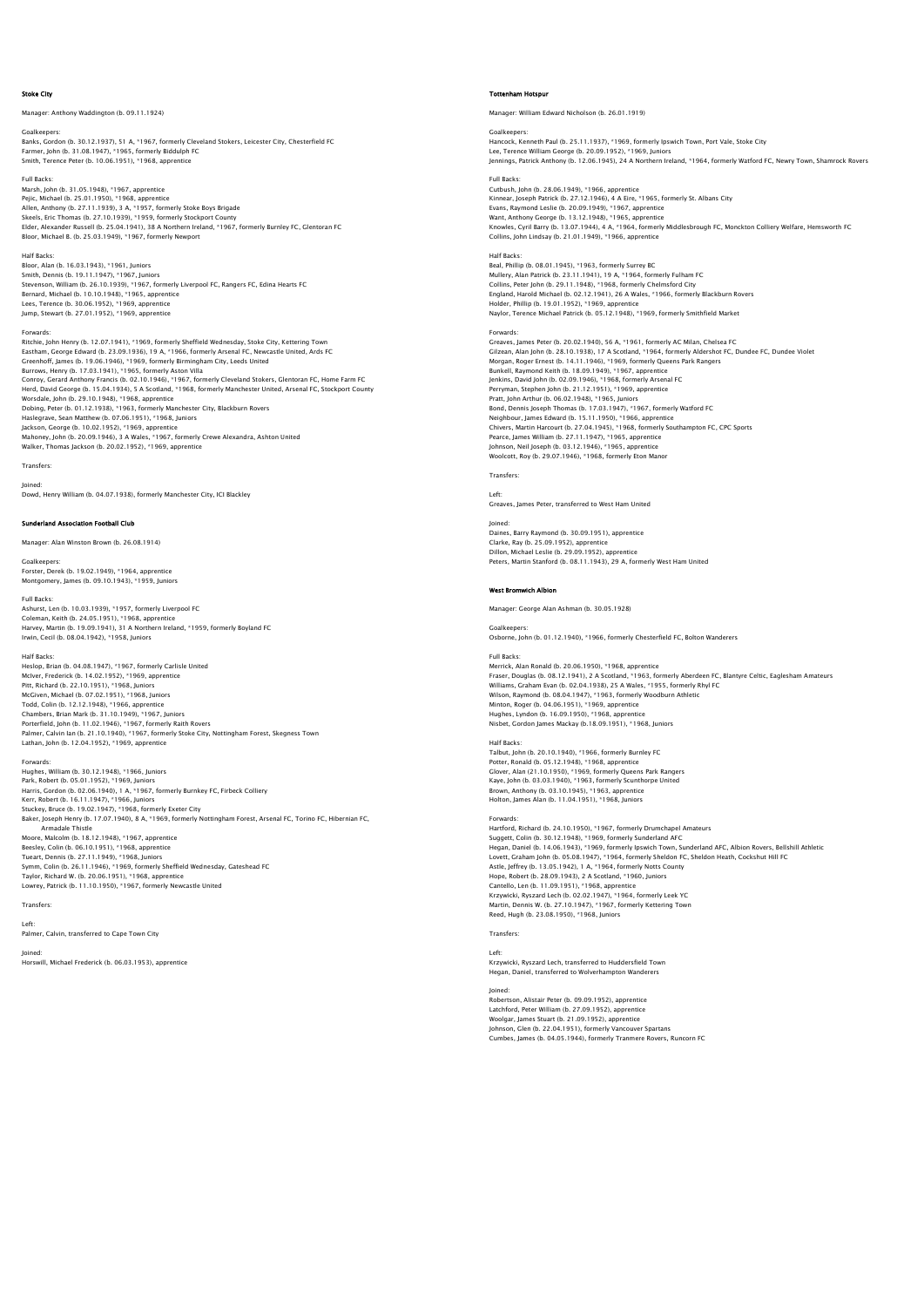### Stoke City

er: Anthony Waddington (b. 09.11.1924)

Goalkeepers: Banks, Gordon (b. 30.12.1937), 51 A, \*1967, formerly Cleveland Stokers, Leicester City, Chesterfield FC<br>Farmer, John (b. 31.08.1947), \*1965, formerly Biddulph FC<br>Smith, Terence Peter (b. 10.06.1951), \*1968, apprentice

Full Backs: Marsh, John (b. 31.05.1948), \*1967, apprentice Pejic, Michael (b. 25.01.1950), \*1968, apprentice<br>Allen, Anthony (b. 27.11.1939), 3 A, \*1957, formerly Stoke Boys Brigade<br>Skeels, Eric Thomas (b. 27.10.1939), \*1959, formerly Stockport County<br>Elder, Alexander Russell (b. 2 Bloor, Michael B. (b. 25.03.1949), \*1967, formerly Newport

Half Backs: Bloor, Alan (b. 16.03.1943), \*1961, Juniors Smith, Dennis (b. 19.11.1947), \*1967, Juniors Stevenson, William (b. 26.10.1939), \*1967, formerly Liverpool FC, Rangers FC, Edina Hearts FC<br>Bernard, Michael (b. 10.10.1948), \*1965, apprentice<br>Lees, Terence (b. 30.06.1952), \*1969, apprentice<br>Jump, Stewart (b. 27.01.195

### Forwards:

Ritchie, John Henry (b. 12.07.1941), \* 1969, formerly Sheffield Wednesday, Stoke City, Kettering Town<br>Eastham, George Edward (b. 23.09.1936), 19 A, \*1966, formerly Arsenal FC, Newcastle United, Ards FC<br>Greenhoff, James (b. Herd, David George (b. 15.04.1934), 5 A Scotland, \*1968, formerly Manchester United, Arsenal FC, Stockport County Worsdale, John (b. 29.10.1948), \*1968, apprentice<br>Dobing, Peter (b. 01.12.1938), \*1963, formerly Manchester City, Blackburn Rovers<br>Haslegrave, Sean Matthew (b. 07.06.1951), \*1968, Juniors<br>Jackson, George (b. 10.02.1952), \*

Transfers:

Joined: Dowd, Henry William (b. 04.07.1938), formerly Manchester City, ICI Blackley

## .<br>Tand Association Football Club

Manager: Alan Winston Brown (b. 26.08.1914)

Goalkeepers: Forster, Derek (b. 19.02.1949), \*1964, apprentice Montgomery, James (b. 09.10.1943), \*1959, Juniors

Lathan, John (b. 12.04.1952), \*1969, apprentice

Full Backs: Ashurst, Len (b. 10.03.1939), \*1957, formerly Liverpool FC Coleman, Keith (b. 24.05.1951), \*1968, apprentice<br>Harvey, Martin (b. 19.09.1941), 31 A Northern Ireland, \*1959, formerly Boyland FC<br>Irwin, Cecil (b. 08.04.1942), \*1958, Juniors

Half Backs: Heslop, Brian (b. 04.08.1947), \*1967, formerly Carlisle United McIver, Frederick (b. 14.02.1952), \*1969, apprentice Pitt, Richard (b. 22.10.1951), \*1968, Juniors McGiven, Michael (b. 07.02.1951), \*1968, Juniors Todd, Colin (b. 12.12.1948), \*1966, apprentice<br>Chambers, Brian Mark (b. 31.10.1949), \*1967, Juniors<br>Porterfield, John (b. 11.02.1946), \*1967, formerly Raith Rovers<br>Palmer, Calvin Ian (b. 21.10.1940), \*1967, formerly Stoke

Forwards:<br>Hughes, William (b. 30.12.1948), \*1966, Juniors<br>Park, Robert (b. 05.01.1952), \*1969, Juniors<br>Harris, Gordon (b. 02.06.1940), 1 A, \*1967, formerly Burnkey FC, Firbeck Colliery Kerr, Robert (b. 16.11.1947), \*1966, Juniors Stuckey, Bruce (b. 19.02.1947), \*1968, formerly Exeter City Baker, Joseph Henry (b. 17.07.1940), 8 A, \*1969, formerly Nottingham Forest, Arsenal FC, Torino FC, Hibernian FC, Armadale Thistle Moore, Malcolm (b. 18.12.1948), \*1967, apprentice Beesley, Colin (b. 06.10.1951), \*1968, apprentice Tueart, Dennis (b. 27.11.1949), \*1968, Juniors<br>Symm, Colin (b. 26.11.1946), \*1969, formerly Sheffield Wednesday, Gateshead FC<br>Taylor, Richard W. (b. 20.06.1951), \*1968, apprentice<br>Lowrey, Patrick (b. 11.10.1950), \*1967, fo

**Transfers** 

# Left: Palmer, Calvin, transferred to Cape Town City

Joined: Horswill, Michael Frederick (b. 06.03.1953), apprentice

### Tottenham Hotspur

Manager: William Edward Nicholson (b. 26.01.1919)

Goalkeepers: Hancock, Kenneth Paul (b. 25.11.1937), \*1969, formerly Ipswich Town, Port Vale, Stoke City Lee, Terence William George (b. 20.09.1952), \*1969, Juniors Jennings, Patrick Anthony (b. 12.06.1945), 24 A Northern Ireland, \*1964, formerly Watford FC, Newry Town, Shamrock Rovers

Full Backs:<br>Cutbush, John (b. 28.06.1949), \*1966, apprentice<br>Kinnear, Joseph Patrick (b. 27.12.1946), 4 A Eire, \*1965, formerly St. Albans City<br>Evans, Raymond Leslie (b. 20.09.1949), \*1967, apprentice<br>Want, Anthony George Collins, John Lindsay (b. 21.01.1949), \*1966, apprentice

Half Backs: Beal, Phillip (b. 08.01.1945), \*1963, formerly Surrey BC Mullery, Alan Patrick (b. 23.11.1941), 19 A, \*1964, formerly Fulham FC Collins, Peter John (b. 29.11.1948), \*1968, formerly Chelmsford City England, Harold Michael (b. 02.12.1941), 26 A Wales, \*1966, formerly Blackburn Rovers Holder, Phillip (b. 19.01.1952), \*1969, apprentice Naylor, Terence Michael Patrick (b. 05.12.1948), \*1969, formerly Smithfield Market

Forwards: Greaves, James Peter (b. 20.02.1940), 56 A, \*1961, formerly AC Milan, Chelsea FC<br>Gilzean, Alan John (b. 28.10.1938), 17 A Scotland, \*1964, formerly Aldershot FC, Dundee FC, Dundee Viole!<br>Morgan, Roger Ernest (b. 14.11.1946 Jenkins, David John (b. 02.09.1946), \*1968, formerly Arsenal FC Perryman, Stephen John (b. 21.12.1951), \*1969, apprentice<br>Pratt, John Arthur (b. 06.02.1948), \*1965, Juniors<br>Bond, Dennis Joseph Thomas (b. 17.03.1947), \*1967, formerly Watford FC<br>Neighbour, James Edward (b. 15.11.1950), \*

**Transfer** 

Left: Greaves, James Peter, transferred to West Ham United

Joined: Daines, Barry Raymond (b. 30.09.1951), apprentice Clarke, Ray (b. 25.09.1952), apprentice Dillon, Michael Leslie (b. 29.09.1952), apprentice Peters, Martin Stanford (b. 08.11.1943), 29 A, formerly West Ham United

### West Bromwich Albion

Manager: George Alan Ashman (b. 30.05.1928)

Goalkeepers: Osborne, John (b. 01.12.1940), \*1966, formerly Chesterfield FC, Bolton Wanderers

## Full Backs

Merrick, Alan Ronald (b. 20.06.1950), \*1968, apprentice<br>Fraser, Douglas (b. 08.12.1941), 2 A Scotland, \*1963, formerly Aberdeen FC, Blantyre Celtic, Eaglesham Amateurs<br>Williams, Graham Evan (b. 02.04.1938), 25 A Wales, \*19 Wilson, Raymond (b. 08.04.1947), \*1963, formerly Woodburn Athletic Minton, Roger (b. 04.06.1951), \*1969, apprentice Hughes, Lyndon (b. 16.09.1950), \*1968, apprentice Nisbet, Gordon James Mackay (b.18.09.1951), \*1968, Juniors

Half Backs:<br>Talbut, John (b. 20.10.1940), \*1966, formerly Burnley FC<br>Potter, Ronald (b. 05.12.1948), \*1968, apprentice<br>Glover, Alan (21.10.1950), \*1969, formerly Queens Park Rangers<br>Kaye, John (b. 03.03.1940), \*1963, forme Holton, James Alan (b. 11.04.1951), \*1968, Juniors

Forwards: Hartford, Richard (b. 24.10.1950), \*1967, formerly Drumchapel Amateurs Suggett, Colin (b. 30.12.1948), \*1969, formerly Sunderland AFC Hegan, Daniel (b. 14.06.1943), \*1969, formerly Ipswich Town, Sunderland AFC, Albion Rovers, Bellshill Athletic Lovett, Graham John (b. 05.08.1947), \*1964, formerly Sheldon FC, Sheldon Heath, Cockshut Hill FC<br>Astle, Jeffrey (b. 13.05.1942), 1 A, \*1964, formerly Notts County<br>Hope, Robert (b. 28.09.1943), 2 A Scotland, \*1960, Juniors<br> Martin, Dennis W. (b. 27.10.1947), \*1967, formerly Kettering Town Reed, Hugh (b. 23.08.1950), \*1968, Juniors

# Transfers:

Left: Krzywicki, Ryszard Lech, transferred to Huddersfield Town Hegan, Daniel, transferred to Wolverhampton Wanderers

Joined:

Robertson, Alistair Peter (b. 09.09.1952), apprentice Latchford, Peter William (b. 27.09.1952), apprentice<br>Woolgar, James Stuart (b. 21.09.1952), apprentice<br>Johnson, Glen (b. 22.04.1951), formerly Vancouver Spartans<br>Cumbes, James (b. 04.05.1944), formerly Tranmere Rovers, Run